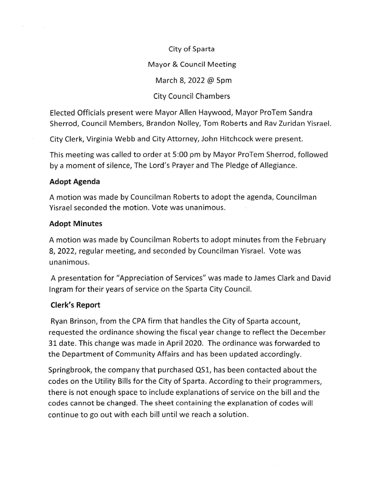#### City of Sparta

### Mayor & Council Meeting

March 8, 2022 @ Spm

## City Council Chambers

Elected Officials present were Mayor Allen Haywood, Mayor ProTem Sandra Sherrod, Council Members, Brandon Nolley, Tom Roberts and Rav Zuridan Yisrael.

City Clerk, Virginia Webb and City Attorney, John Hitchcock were present.

This meeting was called to order at 5:00 pm by Mayor ProTem Sherrod, followed by a moment of silence, The Lord's Prayer and The Pledge of Allegiance.

## Adopt Agenda

A motion was made by Councilman Roberts to adopt the agenda, Councilman Yisrael seconded the motion. Vote was unanimous.

## Adopt Minutes

A motion was made by Councilman Roberts to adopt minutes from the February 8,2022, regular meeting, and seconded by Councilman Yisrael. Vote was unanimous.

A presentation for "Appreciation of Services" was made to James Clark and David lngram for their years of service on the Sparta City Council.

# Clerk's Report

Ryan Brinson, from the CPA firm that handles the City of Sparta account, requested the ordinance showing the fiscal year change to reflect the December 31 date. This change was made in April 2020. The ordinance was forwarded to the Department of Community Affairs and has been updated accordingly.

Springbrook, the company that purchased QS1, has been contacted about the codes on the Utility Bills for the City of Sparta. According to their programmers, there is not enough space to include explanations of service on the bill and the codes cannot be changed. The sheet containing the explanation of codes will continue to go out with each bill until we reach a solution.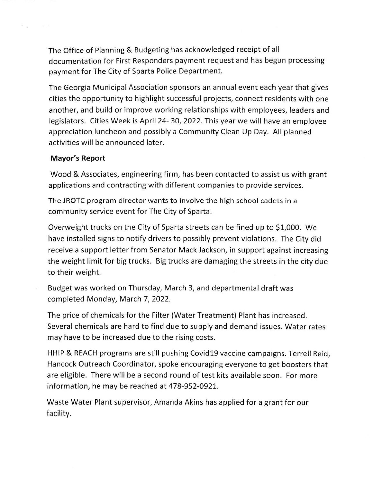The Office of Planning & Budgeting has acknowledged receipt of all documentation for First Responders payment request and has begun processing payment for The City of Sparta Police Department.

The Georgia Municipal Association sponsors an annual event each year that gives cities the opportunity to highlight successful projects, connect residents with one another, and build or improve working relationships with employees, leaders and legislators. Cities Week is April 24-30, 2022. This year we will have an employee appreciation luncheon and possibly a Community Clean Up Day. All planned activities will be announced later.

#### Mayor's Report

 $\mathcal{R}=\frac{1}{2\pi}$  .

 $\omega=0$ 

Wood & Associates, engineering firm, has been contacted to assist us with grant applications and contracting with different companies to provide services.

The JROTC program director wants to involve the high school cadets in <sup>a</sup> community service event for The City of Sparta.

Overweight trucks on the City of Sparta streets can be fined up to 51,000. We have installed signs to notify drivers to possibly prevent violations. The City did receive a support letter from Senator Mack Jackson, in support against increasing the weight limit for big trucks. Big trucks are damaging the streets in the city due to their weight.

Budget was worked on Thursday, March 3, and departmental draft was completed Monday, March 7,2022.

The price of chemicals for the Filter (Water Treatment) Plant has increased. Several chemicals are hard to find due to supply and demand issues. Water rates may have to be increased due to the rising costs,

<sup>H</sup>HIP & REACH programs are still pushing Covid19 vaccine campaigns. Terrell Reid, Hancock Outreach Coordinator, spoke encouraging everyone to get boosters that are eligible. There will be a second round of test kits available soon. For more information, he may be reached at 478-952-0921.

Waste Water Plant supervisor, Amanda Akins has applied for a grant for our facility.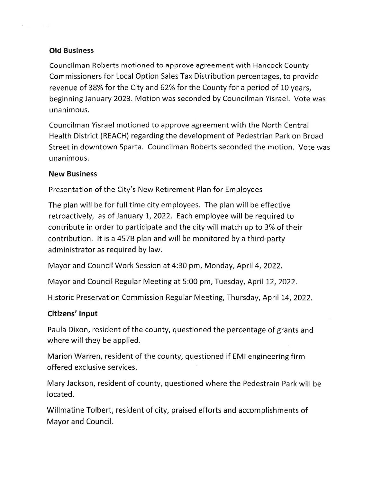## Old Business

 $\sigma_{\rm{max}}$ 

 $-\alpha$ 

Councilman Roberts motioned to approve agreement with Hancock County Commissioners for Local Option Sales Tax Distribution percentages, to provide revenue of 38% for the City and 62% for the County for a period of 10 years, beginning January 2023. Motion was seconded by Councilman Yisrael. Vote was unanimous.

Councilman Yisrael motioned to approve agreement with the North Central Health District (REACH) regarding the development of Pedestrian Park on Broad Street in downtown Sparta. Councilman Roberts seconded the motion. Vote was unanimous.

### New Business

Presentation of the City's New Retirement Plan for Employees

The plan will be for full time city employees. The plan will be effective retroactively, as of January 1, 2022. Each employee will be required to contribute in order to participate and the city will match up to 3% of their contribution. lt is a 4578 plan and will be monitored by a third-party administrator as required by law.

Mayor and Council Work Session at 4:30 pm, Monday, April 4,2022.

Mayor and Council Regular Meeting at 5:00 pm, Tuesday, April 12,2O22.

Historic Preservation Commission Regular Meeting, Thursday, April L4,2022.

# Citizens' Input

Paula Dixon, resident of the county, questioned the percentage of grants and where will they be applied.

Marion Warren, resident of the county, questioned if EMI engineering firm offered exclusive services.

Mary Jackson, resident of county, questioned where the Pedestrain Park will be located.

Willmatine Tolbert, resident of city, praised efforts and accomplishments of Mayor and Council.